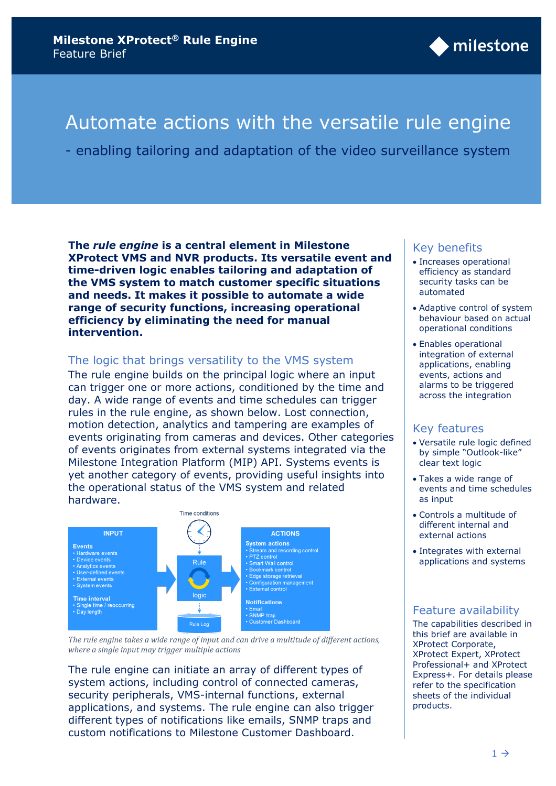

# Automate actions with the versatile rule engine

- enabling tailoring and adaptation of the video surveillance system

**The** *rule engine* **is a central element in Milestone XProtect VMS and NVR products. Its versatile event and time-driven logic enables tailoring and adaptation of the VMS system to match customer specific situations and needs. It makes it possible to automate a wide range of security functions, increasing operational efficiency by eliminating the need for manual intervention.**

## The logic that brings versatility to the VMS system

The rule engine builds on the principal logic where an input can trigger one or more actions, conditioned by the time and day. A wide range of events and time schedules can trigger rules in the rule engine, as shown below. Lost connection, motion detection, analytics and tampering are examples of events originating from cameras and devices. Other categories of events originates from external systems integrated via the Milestone Integration Platform (MIP) API. Systems events is yet another category of events, providing useful insights into the operational status of the VMS system and related hardware.



*The rule engine takes a wide range of input and can drive a multitude of different actions, where a single input may trigger multiple actions*

The rule engine can initiate an array of different types of system actions, including control of connected cameras, security peripherals, VMS-internal functions, external applications, and systems. The rule engine can also trigger different types of notifications like emails, SNMP traps and custom notifications to Milestone Customer Dashboard.

#### Key benefits

- Increases operational efficiency as standard security tasks can be automated
- Adaptive control of system behaviour based on actual operational conditions
- Enables operational integration of external applications, enabling events, actions and alarms to be triggered across the integration

#### Key features

- Versatile rule logic defined by simple "Outlook-like" clear text logic
- Takes a wide range of events and time schedules as input
- Controls a multitude of different internal and external actions
- Integrates with external applications and systems

#### Feature availability

The capabilities described in this brief are available in XProtect Corporate, XProtect Expert, XProtect Professional+ and XProtect Express+. For details please refer to the specification sheets of the individual products.